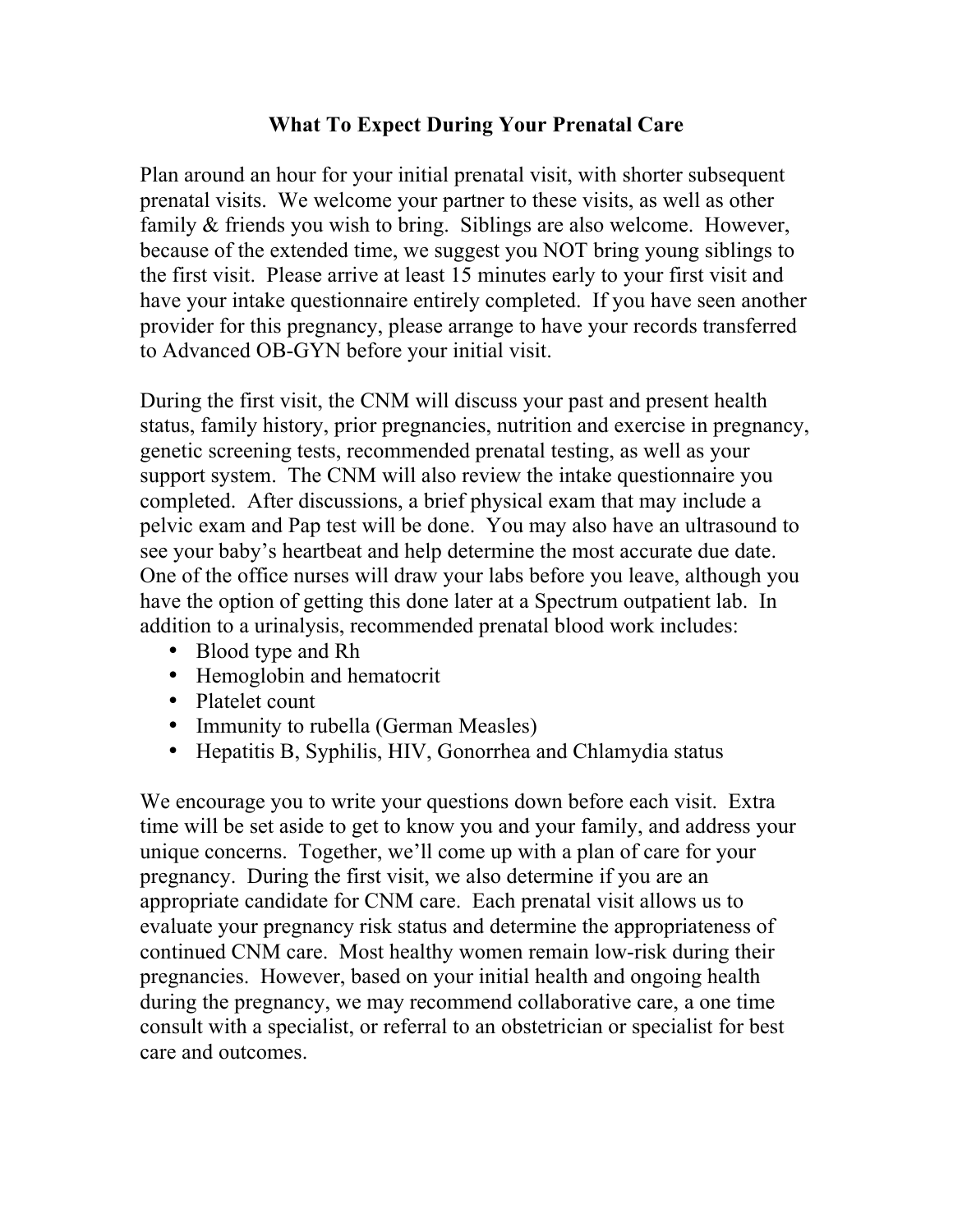## **What To Expect During Your Prenatal Care**

Plan around an hour for your initial prenatal visit, with shorter subsequent prenatal visits. We welcome your partner to these visits, as well as other family & friends you wish to bring. Siblings are also welcome. However, because of the extended time, we suggest you NOT bring young siblings to the first visit. Please arrive at least 15 minutes early to your first visit and have your intake questionnaire entirely completed. If you have seen another provider for this pregnancy, please arrange to have your records transferred to Advanced OB-GYN before your initial visit.

During the first visit, the CNM will discuss your past and present health status, family history, prior pregnancies, nutrition and exercise in pregnancy, genetic screening tests, recommended prenatal testing, as well as your support system. The CNM will also review the intake questionnaire you completed. After discussions, a brief physical exam that may include a pelvic exam and Pap test will be done. You may also have an ultrasound to see your baby's heartbeat and help determine the most accurate due date. One of the office nurses will draw your labs before you leave, although you have the option of getting this done later at a Spectrum outpatient lab. In addition to a urinalysis, recommended prenatal blood work includes:

- Blood type and Rh
- Hemoglobin and hematocrit
- Platelet count
- Immunity to rubella (German Measles)
- Hepatitis B, Syphilis, HIV, Gonorrhea and Chlamydia status

We encourage you to write your questions down before each visit. Extra time will be set aside to get to know you and your family, and address your unique concerns. Together, we'll come up with a plan of care for your pregnancy. During the first visit, we also determine if you are an appropriate candidate for CNM care. Each prenatal visit allows us to evaluate your pregnancy risk status and determine the appropriateness of continued CNM care. Most healthy women remain low-risk during their pregnancies. However, based on your initial health and ongoing health during the pregnancy, we may recommend collaborative care, a one time consult with a specialist, or referral to an obstetrician or specialist for best care and outcomes.